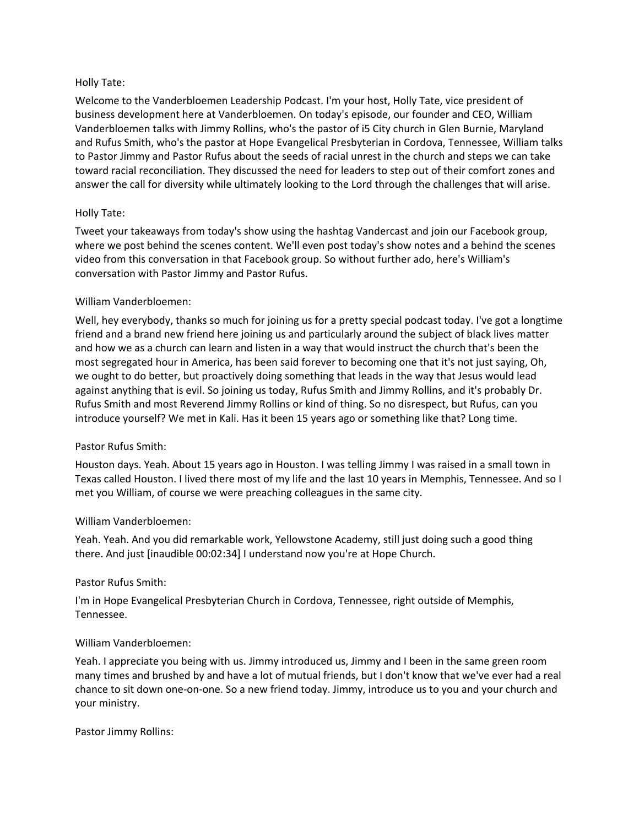### Holly Tate:

Welcome to the Vanderbloemen Leadership Podcast. I'm your host, Holly Tate, vice president of business development here at Vanderbloemen. On today's episode, our founder and CEO, William Vanderbloemen talks with Jimmy Rollins, who's the pastor of i5 City church in Glen Burnie, Maryland and Rufus Smith, who's the pastor at Hope Evangelical Presbyterian in Cordova, Tennessee, William talks to Pastor Jimmy and Pastor Rufus about the seeds of racial unrest in the church and steps we can take toward racial reconciliation. They discussed the need for leaders to step out of their comfort zones and answer the call for diversity while ultimately looking to the Lord through the challenges that will arise.

### Holly Tate:

Tweet your takeaways from today's show using the hashtag Vandercast and join our Facebook group, where we post behind the scenes content. We'll even post today's show notes and a behind the scenes video from this conversation in that Facebook group. So without further ado, here's William's conversation with Pastor Jimmy and Pastor Rufus.

#### William Vanderbloemen:

Well, hey everybody, thanks so much for joining us for a pretty special podcast today. I've got a longtime friend and a brand new friend here joining us and particularly around the subject of black lives matter and how we as a church can learn and listen in a way that would instruct the church that's been the most segregated hour in America, has been said forever to becoming one that it's not just saying, Oh, we ought to do better, but proactively doing something that leads in the way that Jesus would lead against anything that is evil. So joining us today, Rufus Smith and Jimmy Rollins, and it's probably Dr. Rufus Smith and most Reverend Jimmy Rollins or kind of thing. So no disrespect, but Rufus, can you introduce yourself? We met in Kali. Has it been 15 years ago or something like that? Long time.

### Pastor Rufus Smith:

Houston days. Yeah. About 15 years ago in Houston. I was telling Jimmy I was raised in a small town in Texas called Houston. I lived there most of my life and the last 10 years in Memphis, Tennessee. And so I met you William, of course we were preaching colleagues in the same city.

### William Vanderbloemen:

Yeah. Yeah. And you did remarkable work, Yellowstone Academy, still just doing such a good thing there. And just [inaudible 00:02:34] I understand now you're at Hope Church.

### Pastor Rufus Smith:

I'm in Hope Evangelical Presbyterian Church in Cordova, Tennessee, right outside of Memphis, Tennessee.

### William Vanderbloemen:

Yeah. I appreciate you being with us. Jimmy introduced us, Jimmy and I been in the same green room many times and brushed by and have a lot of mutual friends, but I don't know that we've ever had a real chance to sit down one-on-one. So a new friend today. Jimmy, introduce us to you and your church and your ministry.

Pastor Jimmy Rollins: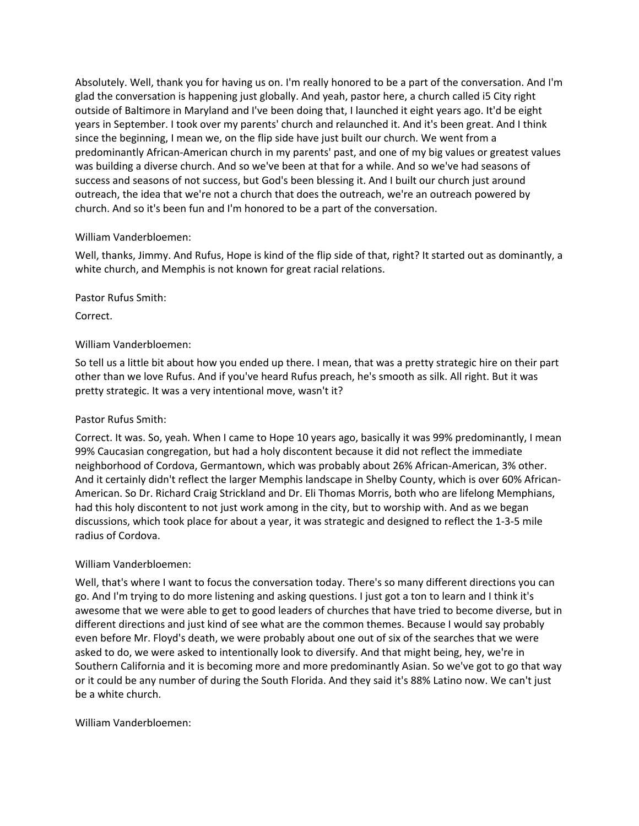Absolutely. Well, thank you for having us on. I'm really honored to be a part of the conversation. And I'm glad the conversation is happening just globally. And yeah, pastor here, a church called i5 City right outside of Baltimore in Maryland and I've been doing that, I launched it eight years ago. It'd be eight years in September. I took over my parents' church and relaunched it. And it's been great. And I think since the beginning, I mean we, on the flip side have just built our church. We went from a predominantly African-American church in my parents' past, and one of my big values or greatest values was building a diverse church. And so we've been at that for a while. And so we've had seasons of success and seasons of not success, but God's been blessing it. And I built our church just around outreach, the idea that we're not a church that does the outreach, we're an outreach powered by church. And so it's been fun and I'm honored to be a part of the conversation.

### William Vanderbloemen:

Well, thanks, Jimmy. And Rufus, Hope is kind of the flip side of that, right? It started out as dominantly, a white church, and Memphis is not known for great racial relations.

Pastor Rufus Smith:

Correct.

### William Vanderbloemen:

So tell us a little bit about how you ended up there. I mean, that was a pretty strategic hire on their part other than we love Rufus. And if you've heard Rufus preach, he's smooth as silk. All right. But it was pretty strategic. It was a very intentional move, wasn't it?

# Pastor Rufus Smith:

Correct. It was. So, yeah. When I came to Hope 10 years ago, basically it was 99% predominantly, I mean 99% Caucasian congregation, but had a holy discontent because it did not reflect the immediate neighborhood of Cordova, Germantown, which was probably about 26% African-American, 3% other. And it certainly didn't reflect the larger Memphis landscape in Shelby County, which is over 60% African-American. So Dr. Richard Craig Strickland and Dr. Eli Thomas Morris, both who are lifelong Memphians, had this holy discontent to not just work among in the city, but to worship with. And as we began discussions, which took place for about a year, it was strategic and designed to reflect the 1-3-5 mile radius of Cordova.

### William Vanderbloemen:

Well, that's where I want to focus the conversation today. There's so many different directions you can go. And I'm trying to do more listening and asking questions. I just got a ton to learn and I think it's awesome that we were able to get to good leaders of churches that have tried to become diverse, but in different directions and just kind of see what are the common themes. Because I would say probably even before Mr. Floyd's death, we were probably about one out of six of the searches that we were asked to do, we were asked to intentionally look to diversify. And that might being, hey, we're in Southern California and it is becoming more and more predominantly Asian. So we've got to go that way or it could be any number of during the South Florida. And they said it's 88% Latino now. We can't just be a white church.

### William Vanderbloemen: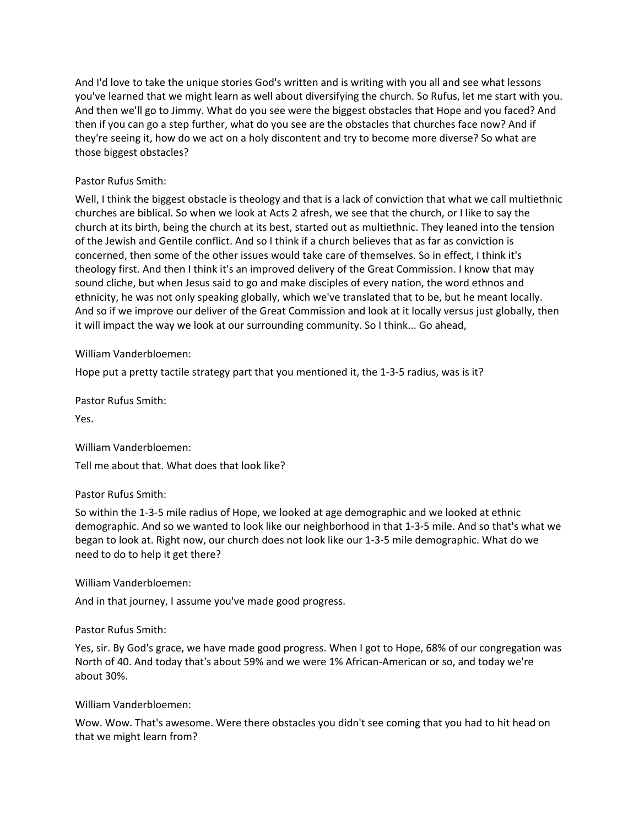And I'd love to take the unique stories God's written and is writing with you all and see what lessons you've learned that we might learn as well about diversifying the church. So Rufus, let me start with you. And then we'll go to Jimmy. What do you see were the biggest obstacles that Hope and you faced? And then if you can go a step further, what do you see are the obstacles that churches face now? And if they're seeing it, how do we act on a holy discontent and try to become more diverse? So what are those biggest obstacles?

# Pastor Rufus Smith:

Well, I think the biggest obstacle is theology and that is a lack of conviction that what we call multiethnic churches are biblical. So when we look at Acts 2 afresh, we see that the church, or I like to say the church at its birth, being the church at its best, started out as multiethnic. They leaned into the tension of the Jewish and Gentile conflict. And so I think if a church believes that as far as conviction is concerned, then some of the other issues would take care of themselves. So in effect, I think it's theology first. And then I think it's an improved delivery of the Great Commission. I know that may sound cliche, but when Jesus said to go and make disciples of every nation, the word ethnos and ethnicity, he was not only speaking globally, which we've translated that to be, but he meant locally. And so if we improve our deliver of the Great Commission and look at it locally versus just globally, then it will impact the way we look at our surrounding community. So I think... Go ahead,

William Vanderbloemen:

Hope put a pretty tactile strategy part that you mentioned it, the 1-3-5 radius, was is it?

Pastor Rufus Smith:

Yes.

William Vanderbloemen: Tell me about that. What does that look like?

Pastor Rufus Smith:

So within the 1-3-5 mile radius of Hope, we looked at age demographic and we looked at ethnic demographic. And so we wanted to look like our neighborhood in that 1-3-5 mile. And so that's what we began to look at. Right now, our church does not look like our 1-3-5 mile demographic. What do we need to do to help it get there?

William Vanderbloemen:

And in that journey, I assume you've made good progress.

Pastor Rufus Smith:

Yes, sir. By God's grace, we have made good progress. When I got to Hope, 68% of our congregation was North of 40. And today that's about 59% and we were 1% African-American or so, and today we're about 30%.

William Vanderbloemen:

Wow. Wow. That's awesome. Were there obstacles you didn't see coming that you had to hit head on that we might learn from?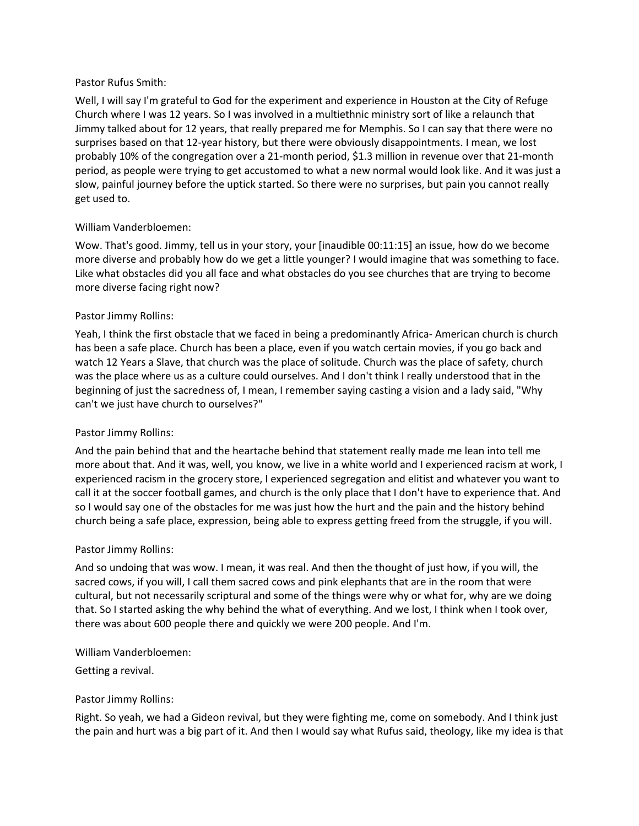### Pastor Rufus Smith:

Well, I will say I'm grateful to God for the experiment and experience in Houston at the City of Refuge Church where I was 12 years. So I was involved in a multiethnic ministry sort of like a relaunch that Jimmy talked about for 12 years, that really prepared me for Memphis. So I can say that there were no surprises based on that 12-year history, but there were obviously disappointments. I mean, we lost probably 10% of the congregation over a 21-month period, \$1.3 million in revenue over that 21-month period, as people were trying to get accustomed to what a new normal would look like. And it was just a slow, painful journey before the uptick started. So there were no surprises, but pain you cannot really get used to.

### William Vanderbloemen:

Wow. That's good. Jimmy, tell us in your story, your [inaudible 00:11:15] an issue, how do we become more diverse and probably how do we get a little younger? I would imagine that was something to face. Like what obstacles did you all face and what obstacles do you see churches that are trying to become more diverse facing right now?

### Pastor Jimmy Rollins:

Yeah, I think the first obstacle that we faced in being a predominantly Africa- American church is church has been a safe place. Church has been a place, even if you watch certain movies, if you go back and watch 12 Years a Slave, that church was the place of solitude. Church was the place of safety, church was the place where us as a culture could ourselves. And I don't think I really understood that in the beginning of just the sacredness of, I mean, I remember saying casting a vision and a lady said, "Why can't we just have church to ourselves?"

### Pastor Jimmy Rollins:

And the pain behind that and the heartache behind that statement really made me lean into tell me more about that. And it was, well, you know, we live in a white world and I experienced racism at work, I experienced racism in the grocery store, I experienced segregation and elitist and whatever you want to call it at the soccer football games, and church is the only place that I don't have to experience that. And so I would say one of the obstacles for me was just how the hurt and the pain and the history behind church being a safe place, expression, being able to express getting freed from the struggle, if you will.

### Pastor Jimmy Rollins:

And so undoing that was wow. I mean, it was real. And then the thought of just how, if you will, the sacred cows, if you will, I call them sacred cows and pink elephants that are in the room that were cultural, but not necessarily scriptural and some of the things were why or what for, why are we doing that. So I started asking the why behind the what of everything. And we lost, I think when I took over, there was about 600 people there and quickly we were 200 people. And I'm.

### William Vanderbloemen:

Getting a revival.

### Pastor Jimmy Rollins:

Right. So yeah, we had a Gideon revival, but they were fighting me, come on somebody. And I think just the pain and hurt was a big part of it. And then I would say what Rufus said, theology, like my idea is that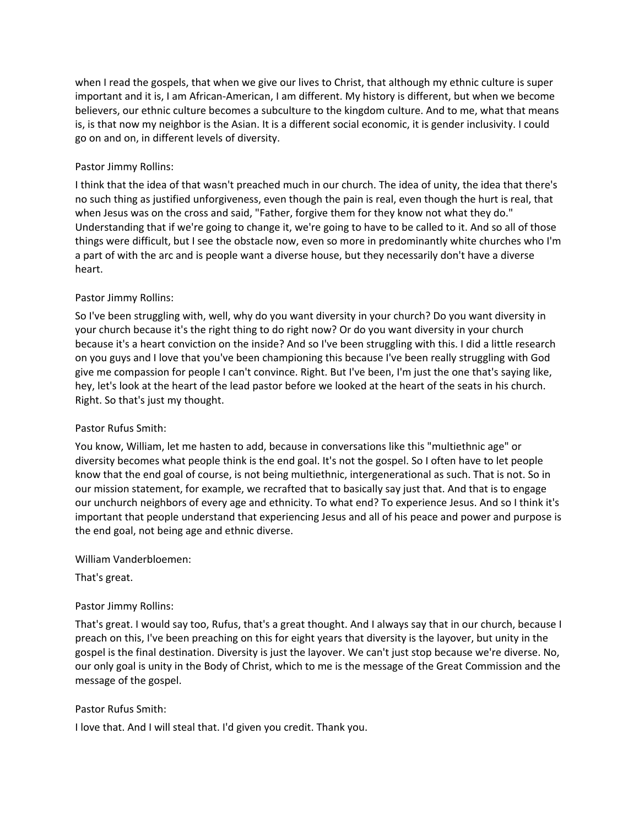when I read the gospels, that when we give our lives to Christ, that although my ethnic culture is super important and it is, I am African-American, I am different. My history is different, but when we become believers, our ethnic culture becomes a subculture to the kingdom culture. And to me, what that means is, is that now my neighbor is the Asian. It is a different social economic, it is gender inclusivity. I could go on and on, in different levels of diversity.

# Pastor Jimmy Rollins:

I think that the idea of that wasn't preached much in our church. The idea of unity, the idea that there's no such thing as justified unforgiveness, even though the pain is real, even though the hurt is real, that when Jesus was on the cross and said, "Father, forgive them for they know not what they do." Understanding that if we're going to change it, we're going to have to be called to it. And so all of those things were difficult, but I see the obstacle now, even so more in predominantly white churches who I'm a part of with the arc and is people want a diverse house, but they necessarily don't have a diverse heart.

# Pastor Jimmy Rollins:

So I've been struggling with, well, why do you want diversity in your church? Do you want diversity in your church because it's the right thing to do right now? Or do you want diversity in your church because it's a heart conviction on the inside? And so I've been struggling with this. I did a little research on you guys and I love that you've been championing this because I've been really struggling with God give me compassion for people I can't convince. Right. But I've been, I'm just the one that's saying like, hey, let's look at the heart of the lead pastor before we looked at the heart of the seats in his church. Right. So that's just my thought.

### Pastor Rufus Smith:

You know, William, let me hasten to add, because in conversations like this "multiethnic age" or diversity becomes what people think is the end goal. It's not the gospel. So I often have to let people know that the end goal of course, is not being multiethnic, intergenerational as such. That is not. So in our mission statement, for example, we recrafted that to basically say just that. And that is to engage our unchurch neighbors of every age and ethnicity. To what end? To experience Jesus. And so I think it's important that people understand that experiencing Jesus and all of his peace and power and purpose is the end goal, not being age and ethnic diverse.

William Vanderbloemen:

That's great.

# Pastor Jimmy Rollins:

That's great. I would say too, Rufus, that's a great thought. And I always say that in our church, because I preach on this, I've been preaching on this for eight years that diversity is the layover, but unity in the gospel is the final destination. Diversity is just the layover. We can't just stop because we're diverse. No, our only goal is unity in the Body of Christ, which to me is the message of the Great Commission and the message of the gospel.

# Pastor Rufus Smith:

I love that. And I will steal that. I'd given you credit. Thank you.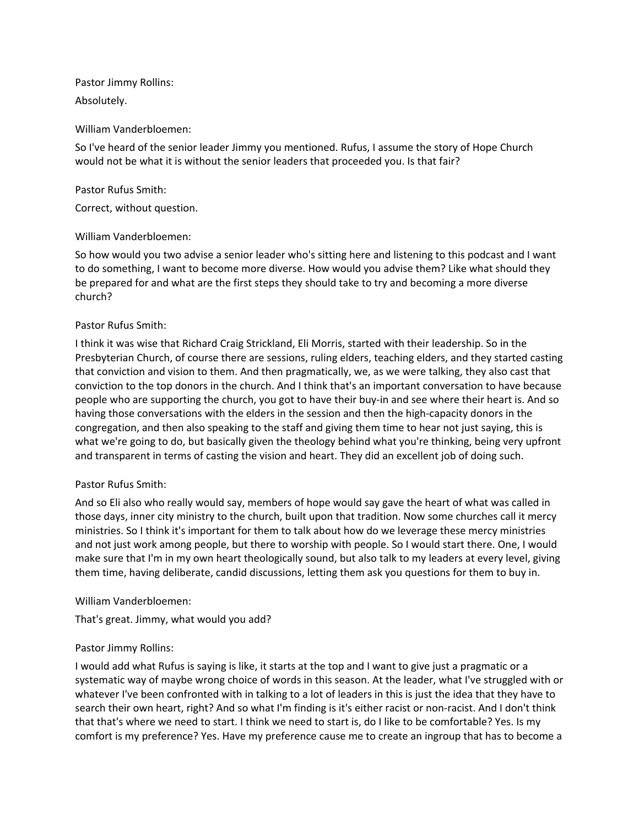Pastor Jimmy Rollins: Absolutely.

#### William Vanderbloemen:

So I've heard of the senior leader Jimmy you mentioned. Rufus, I assume the story of Hope Church would not be what it is without the senior leaders that proceeded you. Is that fair?

#### Pastor Rufus Smith:

Correct, without question.

#### William Vanderbloemen:

So how would you two advise a senior leader who's sitting here and listening to this podcast and I want to do something, I want to become more diverse. How would you advise them? Like what should they be prepared for and what are the first steps they should take to try and becoming a more diverse church?

### Pastor Rufus Smith:

I think it was wise that Richard Craig Strickland, Eli Morris, started with their leadership. So in the Presbyterian Church, of course there are sessions, ruling elders, teaching elders, and they started casting that conviction and vision to them. And then pragmatically, we, as we were talking, they also cast that conviction to the top donors in the church. And I think that's an important conversation to have because people who are supporting the church, you got to have their buy-in and see where their heart is. And so having those conversations with the elders in the session and then the high-capacity donors in the congregation, and then also speaking to the staff and giving them time to hear not just saying, this is what we're going to do, but basically given the theology behind what you're thinking, being very upfront and transparent in terms of casting the vision and heart. They did an excellent job of doing such.

### Pastor Rufus Smith:

And so Eli also who really would say, members of hope would say gave the heart of what was called in those days, inner city ministry to the church, built upon that tradition. Now some churches call it mercy ministries. So I think it's important for them to talk about how do we leverage these mercy ministries and not just work among people, but there to worship with people. So I would start there. One, I would make sure that I'm in my own heart theologically sound, but also talk to my leaders at every level, giving them time, having deliberate, candid discussions, letting them ask you questions for them to buy in.

### William Vanderbloemen:

That's great. Jimmy, what would you add?

### Pastor Jimmy Rollins:

I would add what Rufus is saying is like, it starts at the top and I want to give just a pragmatic or a systematic way of maybe wrong choice of words in this season. At the leader, what I've struggled with or whatever I've been confronted with in talking to a lot of leaders in this is just the idea that they have to search their own heart, right? And so what I'm finding is it's either racist or non-racist. And I don't think that that's where we need to start. I think we need to start is, do I like to be comfortable? Yes. Is my comfort is my preference? Yes. Have my preference cause me to create an ingroup that has to become a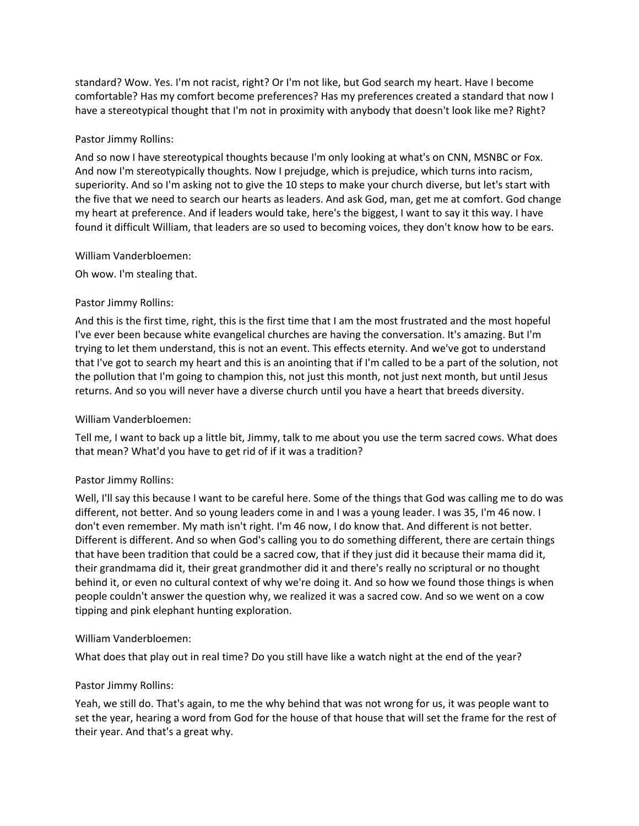standard? Wow. Yes. I'm not racist, right? Or I'm not like, but God search my heart. Have I become comfortable? Has my comfort become preferences? Has my preferences created a standard that now I have a stereotypical thought that I'm not in proximity with anybody that doesn't look like me? Right?

#### Pastor Jimmy Rollins:

And so now I have stereotypical thoughts because I'm only looking at what's on CNN, MSNBC or Fox. And now I'm stereotypically thoughts. Now I prejudge, which is prejudice, which turns into racism, superiority. And so I'm asking not to give the 10 steps to make your church diverse, but let's start with the five that we need to search our hearts as leaders. And ask God, man, get me at comfort. God change my heart at preference. And if leaders would take, here's the biggest, I want to say it this way. I have found it difficult William, that leaders are so used to becoming voices, they don't know how to be ears.

#### William Vanderbloemen:

Oh wow. I'm stealing that.

#### Pastor Jimmy Rollins:

And this is the first time, right, this is the first time that I am the most frustrated and the most hopeful I've ever been because white evangelical churches are having the conversation. It's amazing. But I'm trying to let them understand, this is not an event. This effects eternity. And we've got to understand that I've got to search my heart and this is an anointing that if I'm called to be a part of the solution, not the pollution that I'm going to champion this, not just this month, not just next month, but until Jesus returns. And so you will never have a diverse church until you have a heart that breeds diversity.

### William Vanderbloemen:

Tell me, I want to back up a little bit, Jimmy, talk to me about you use the term sacred cows. What does that mean? What'd you have to get rid of if it was a tradition?

### Pastor Jimmy Rollins:

Well, I'll say this because I want to be careful here. Some of the things that God was calling me to do was different, not better. And so young leaders come in and I was a young leader. I was 35, I'm 46 now. I don't even remember. My math isn't right. I'm 46 now, I do know that. And different is not better. Different is different. And so when God's calling you to do something different, there are certain things that have been tradition that could be a sacred cow, that if they just did it because their mama did it, their grandmama did it, their great grandmother did it and there's really no scriptural or no thought behind it, or even no cultural context of why we're doing it. And so how we found those things is when people couldn't answer the question why, we realized it was a sacred cow. And so we went on a cow tipping and pink elephant hunting exploration.

### William Vanderbloemen:

What does that play out in real time? Do you still have like a watch night at the end of the year?

### Pastor Jimmy Rollins:

Yeah, we still do. That's again, to me the why behind that was not wrong for us, it was people want to set the year, hearing a word from God for the house of that house that will set the frame for the rest of their year. And that's a great why.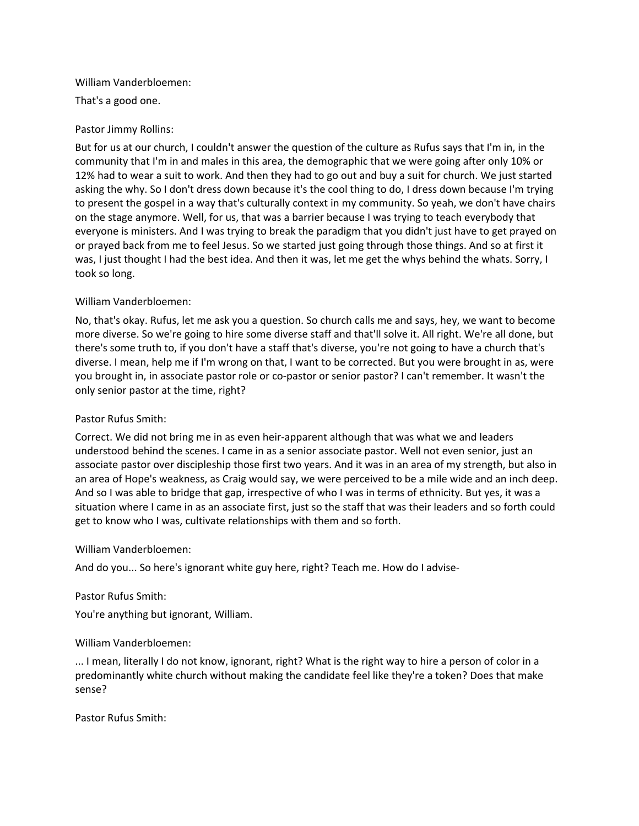#### William Vanderbloemen:

That's a good one.

### Pastor Jimmy Rollins:

But for us at our church, I couldn't answer the question of the culture as Rufus says that I'm in, in the community that I'm in and males in this area, the demographic that we were going after only 10% or 12% had to wear a suit to work. And then they had to go out and buy a suit for church. We just started asking the why. So I don't dress down because it's the cool thing to do, I dress down because I'm trying to present the gospel in a way that's culturally context in my community. So yeah, we don't have chairs on the stage anymore. Well, for us, that was a barrier because I was trying to teach everybody that everyone is ministers. And I was trying to break the paradigm that you didn't just have to get prayed on or prayed back from me to feel Jesus. So we started just going through those things. And so at first it was, I just thought I had the best idea. And then it was, let me get the whys behind the whats. Sorry, I took so long.

### William Vanderbloemen:

No, that's okay. Rufus, let me ask you a question. So church calls me and says, hey, we want to become more diverse. So we're going to hire some diverse staff and that'll solve it. All right. We're all done, but there's some truth to, if you don't have a staff that's diverse, you're not going to have a church that's diverse. I mean, help me if I'm wrong on that, I want to be corrected. But you were brought in as, were you brought in, in associate pastor role or co-pastor or senior pastor? I can't remember. It wasn't the only senior pastor at the time, right?

### Pastor Rufus Smith:

Correct. We did not bring me in as even heir-apparent although that was what we and leaders understood behind the scenes. I came in as a senior associate pastor. Well not even senior, just an associate pastor over discipleship those first two years. And it was in an area of my strength, but also in an area of Hope's weakness, as Craig would say, we were perceived to be a mile wide and an inch deep. And so I was able to bridge that gap, irrespective of who I was in terms of ethnicity. But yes, it was a situation where I came in as an associate first, just so the staff that was their leaders and so forth could get to know who I was, cultivate relationships with them and so forth.

#### William Vanderbloemen:

And do you... So here's ignorant white guy here, right? Teach me. How do I advise-

#### Pastor Rufus Smith:

You're anything but ignorant, William.

### William Vanderbloemen:

... I mean, literally I do not know, ignorant, right? What is the right way to hire a person of color in a predominantly white church without making the candidate feel like they're a token? Does that make sense?

Pastor Rufus Smith: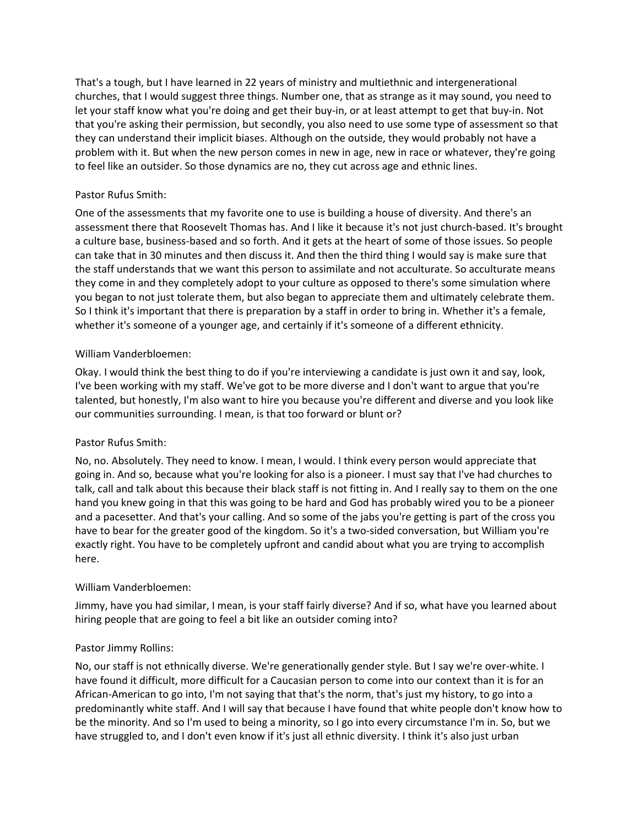That's a tough, but I have learned in 22 years of ministry and multiethnic and intergenerational churches, that I would suggest three things. Number one, that as strange as it may sound, you need to let your staff know what you're doing and get their buy-in, or at least attempt to get that buy-in. Not that you're asking their permission, but secondly, you also need to use some type of assessment so that they can understand their implicit biases. Although on the outside, they would probably not have a problem with it. But when the new person comes in new in age, new in race or whatever, they're going to feel like an outsider. So those dynamics are no, they cut across age and ethnic lines.

# Pastor Rufus Smith:

One of the assessments that my favorite one to use is building a house of diversity. And there's an assessment there that Roosevelt Thomas has. And I like it because it's not just church-based. It's brought a culture base, business-based and so forth. And it gets at the heart of some of those issues. So people can take that in 30 minutes and then discuss it. And then the third thing I would say is make sure that the staff understands that we want this person to assimilate and not acculturate. So acculturate means they come in and they completely adopt to your culture as opposed to there's some simulation where you began to not just tolerate them, but also began to appreciate them and ultimately celebrate them. So I think it's important that there is preparation by a staff in order to bring in. Whether it's a female, whether it's someone of a younger age, and certainly if it's someone of a different ethnicity.

### William Vanderbloemen:

Okay. I would think the best thing to do if you're interviewing a candidate is just own it and say, look, I've been working with my staff. We've got to be more diverse and I don't want to argue that you're talented, but honestly, I'm also want to hire you because you're different and diverse and you look like our communities surrounding. I mean, is that too forward or blunt or?

### Pastor Rufus Smith:

No, no. Absolutely. They need to know. I mean, I would. I think every person would appreciate that going in. And so, because what you're looking for also is a pioneer. I must say that I've had churches to talk, call and talk about this because their black staff is not fitting in. And I really say to them on the one hand you knew going in that this was going to be hard and God has probably wired you to be a pioneer and a pacesetter. And that's your calling. And so some of the jabs you're getting is part of the cross you have to bear for the greater good of the kingdom. So it's a two-sided conversation, but William you're exactly right. You have to be completely upfront and candid about what you are trying to accomplish here.

### William Vanderbloemen:

Jimmy, have you had similar, I mean, is your staff fairly diverse? And if so, what have you learned about hiring people that are going to feel a bit like an outsider coming into?

### Pastor Jimmy Rollins:

No, our staff is not ethnically diverse. We're generationally gender style. But I say we're over-white. I have found it difficult, more difficult for a Caucasian person to come into our context than it is for an African-American to go into, I'm not saying that that's the norm, that's just my history, to go into a predominantly white staff. And I will say that because I have found that white people don't know how to be the minority. And so I'm used to being a minority, so I go into every circumstance I'm in. So, but we have struggled to, and I don't even know if it's just all ethnic diversity. I think it's also just urban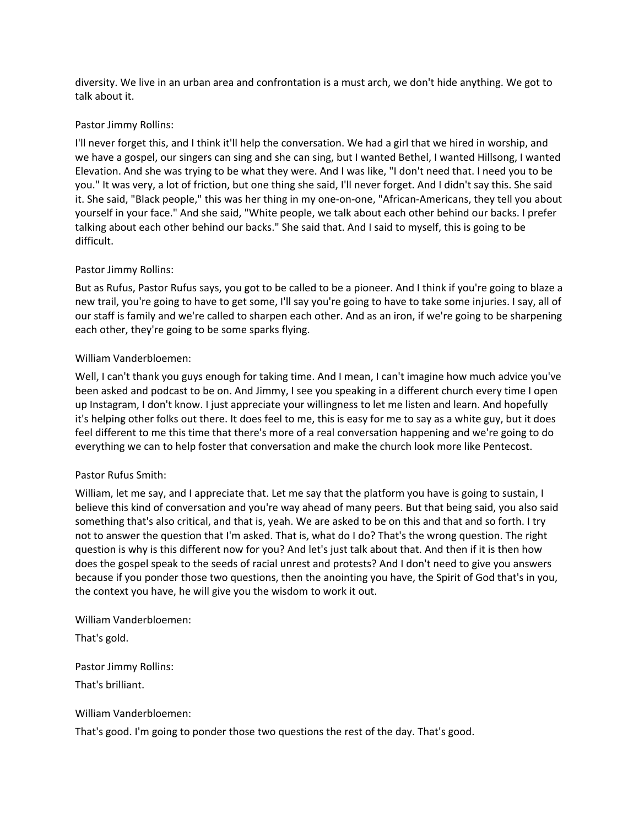diversity. We live in an urban area and confrontation is a must arch, we don't hide anything. We got to talk about it.

#### Pastor Jimmy Rollins:

I'll never forget this, and I think it'll help the conversation. We had a girl that we hired in worship, and we have a gospel, our singers can sing and she can sing, but I wanted Bethel, I wanted Hillsong, I wanted Elevation. And she was trying to be what they were. And I was like, "I don't need that. I need you to be you." It was very, a lot of friction, but one thing she said, I'll never forget. And I didn't say this. She said it. She said, "Black people," this was her thing in my one-on-one, "African-Americans, they tell you about yourself in your face." And she said, "White people, we talk about each other behind our backs. I prefer talking about each other behind our backs." She said that. And I said to myself, this is going to be difficult.

### Pastor Jimmy Rollins:

But as Rufus, Pastor Rufus says, you got to be called to be a pioneer. And I think if you're going to blaze a new trail, you're going to have to get some, I'll say you're going to have to take some injuries. I say, all of our staff is family and we're called to sharpen each other. And as an iron, if we're going to be sharpening each other, they're going to be some sparks flying.

#### William Vanderbloemen:

Well, I can't thank you guys enough for taking time. And I mean, I can't imagine how much advice you've been asked and podcast to be on. And Jimmy, I see you speaking in a different church every time I open up Instagram, I don't know. I just appreciate your willingness to let me listen and learn. And hopefully it's helping other folks out there. It does feel to me, this is easy for me to say as a white guy, but it does feel different to me this time that there's more of a real conversation happening and we're going to do everything we can to help foster that conversation and make the church look more like Pentecost.

#### Pastor Rufus Smith:

William, let me say, and I appreciate that. Let me say that the platform you have is going to sustain, I believe this kind of conversation and you're way ahead of many peers. But that being said, you also said something that's also critical, and that is, yeah. We are asked to be on this and that and so forth. I try not to answer the question that I'm asked. That is, what do I do? That's the wrong question. The right question is why is this different now for you? And let's just talk about that. And then if it is then how does the gospel speak to the seeds of racial unrest and protests? And I don't need to give you answers because if you ponder those two questions, then the anointing you have, the Spirit of God that's in you, the context you have, he will give you the wisdom to work it out.

William Vanderbloemen:

That's gold.

Pastor Jimmy Rollins:

That's brilliant.

William Vanderbloemen:

That's good. I'm going to ponder those two questions the rest of the day. That's good.